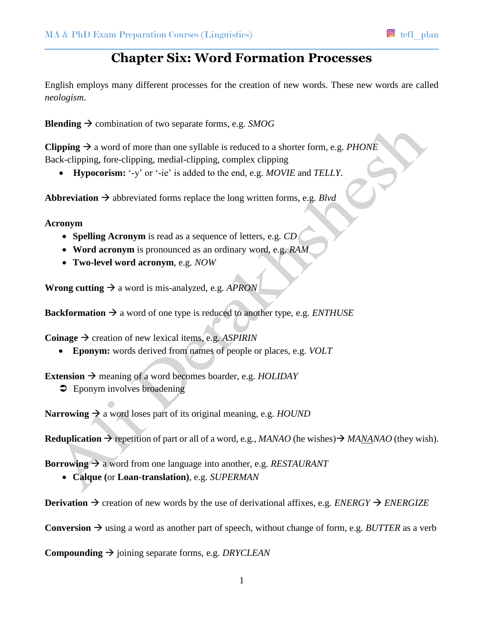## **Chapter Six: Word Formation Processes**

English employs many different processes for the creation of new words. These new words are called *neologism*.

**Blending**  $\rightarrow$  combination of two separate forms, e.g. *SMOG* 

**Clipping**  $\rightarrow$  a word of more than one syllable is reduced to a shorter form, e.g. *PHONE* Back-clipping, fore-clipping, medial-clipping, complex clipping

**Hypocorism:** '-y' or '-ie' is added to the end, e.g. *MOVIE* and *TELLY.*

**Abbreviation**  $\rightarrow$  abbreviated forms replace the long written forms, e.g. *Blvd* 

**Acronym**

- **Spelling Acronym** is read as a sequence of letters, e.g. *CD*
- **Word acronym** is pronounced as an ordinary word, e.g. *RAM*
- **Two-level word acronym**, e.g. *NOW*

**Wrong cutting**  $\rightarrow$  a word is mis-analyzed, e.g. *APRON* 

**Backformation**  $\rightarrow$  a word of one type is reduced to another type, e.g. *ENTHUSE* 

**Coinage**  $\rightarrow$  creation of new lexical items, e.g. *ASPIRIN* 

**Eponym:** words derived from names of people or places, e.g. *VOLT*

**Extension**  $\rightarrow$  meaning of a word becomes boarder, e.g. *HOLIDAY* 

 $\supset$  Eponym involves broadening

**Narrowing**  $\rightarrow$  a word loses part of its original meaning, e.g. *HOUND* 

**Reduplication**  $\rightarrow$  repetition of part or all of a word, e.g., *MANAO* (he wishes)  $\rightarrow$  *MANANAO* (they wish).

**Borrowing**  $\rightarrow$  a word from one language into another, e.g. *RESTAURANT* 

**Calque (**or **Loan-translation)**, e.g. *SUPERMAN* 

**Derivation**  $\rightarrow$  **creation of new words by the use of derivational affixes, e.g.** *ENERGY* $\rightarrow$ *ENERGIZE* 

**Conversion**  $\rightarrow$  using a word as another part of speech, without change of form, e.g. *BUTTER* as a verb

**Compounding**  $\rightarrow$  joining separate forms, e.g. *DRYCLEAN*